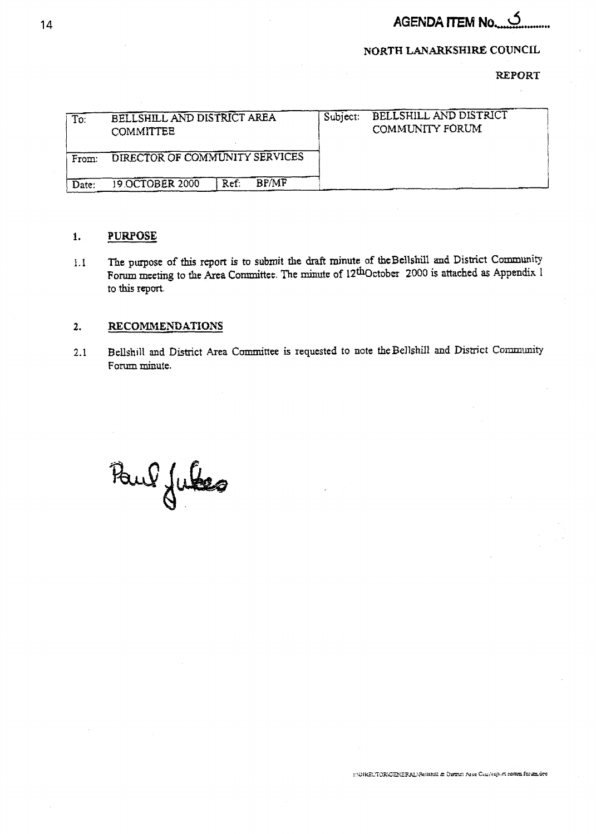## **AGENDA ITEM No..........**

### **NORTH LANARKSHIRE COUNCIL**

**REPORT** 

| $\overline{\mathrm{To}}$ : | BELLSHILL AND DISTRICT AREA<br><b>COMMITTEE</b> |      | Subject:     | BELLSHILL AND DISTRICT<br><b>COMMUNITY FORUM</b> |  |
|----------------------------|-------------------------------------------------|------|--------------|--------------------------------------------------|--|
| From:                      | DIRECTOR OF COMMUNITY SERVICES                  |      |              |                                                  |  |
| Date:                      | 19.OCTOBER 2000                                 | Ref: | <b>RP/MF</b> |                                                  |  |

#### **PURPOSE**  $\mathbf{1}$ .

i.1 The **pwpose of** this report **is to submit the** draft **minute of thcBe'ilshill and** District Community Forum mctring **to the Area** Committct. **The minutc of** 12thOctobcr **2000 is attached as Appendix** <sup>I</sup> to **this report.** 

#### 2. **RECOMMENDATIONS**

**2.1 Bellshill and District Area Committee is requested to note the Bellshill and District Community** Form **minute.** 

Paul Jules

HOURECTORICENERAL/Rettanill & District Area Counterport commi forum dec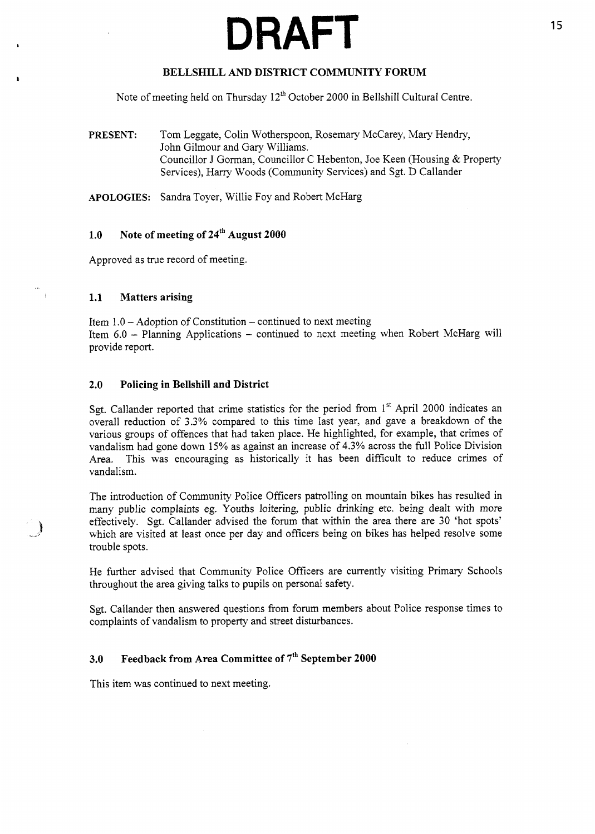# **DRAFT** <sup>15</sup>

#### **BELLSHILL** *AND* **DISTRICT COMMUNITY FORUM**

Note of meeting held on Thursday  $12<sup>th</sup>$  October 2000 in Bellshill Cultural Centre.

**PRESENT:** Tom Leggate, Colin Wotherspoon, Rosemary McCarey, Mary Hendry, John Gilmour and Gary Williams. Councillor J Gorman, Councillor C Hebenton, Joe Keen (Housing & Property Services), Harry Woods (Community Services) and *Sgt.* D Callander

**APOLOGIES:** Sandra Toyer, Willie Foy and Robert McHarg

#### **1.0 Note of meeting of 24" August 2000**

Approved as true record of meeting.

#### **1.1 Matters arising**

Item 1.0 - Adoption of Constitution - continued to next meeting Item 6.0 - Planning Applications - continued to next meeting when Robert McHarg will provide report.

#### **2.0 Policing in Bellshill and District**

Sgt. Callander reported that crime statistics for the period from 1<sup>st</sup> April 2000 indicates an overall reduction of 3.3% compared to this time last year, and gave a breakdown of the various groups of offences that had taken place. He highlighted, for example, that crimes of vandalism had gone down 15% as against an increase of 4.3% across the full Police Division Area. This was encouraging as historically it has been difficult to reduce crimes of vandalism.

The introduction of Community Police Officers patrolling on mountain bikes has resulted in many public complaints eg. Youths loitering, public drinking etc. being dealt with more effectively. *Sgt.* Callander advised the forum that within the area there are 30 'hot spots' which are visited at least once per day and officers being on bikes has helped resolve some trouble spots.

He further advised that Community Police Officers are currently visiting Primary Schools throughout the area giving talks to pupils on personal safety.

*Sgt.* Callander then answered questions from forum members about Police response times to complaints of vandalism to property and street disturbances.

#### **3.0 Feedback from Area Committee of 7'h September 2000**

This item was continued to next meeting.